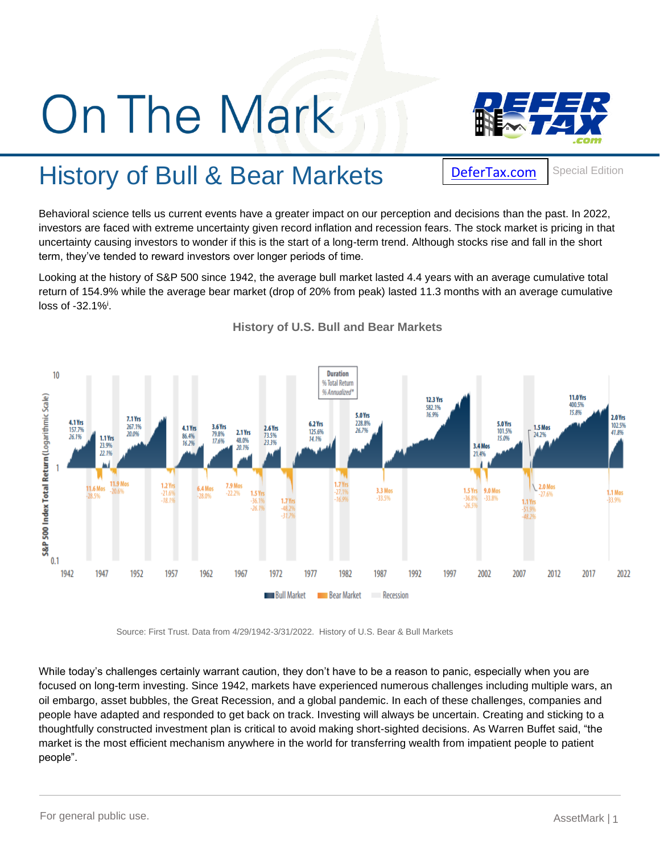## **On The Mark**



## History of Bull & Bear Markets

[DeferTax.com](https://defertax.com/)

Special Edition

Behavioral science tells us current events have a greater impact on our perception and decisions than the past. In 2022, investors are faced with extreme uncertainty given record inflation and recession fears. The stock market is pricing in that uncertainty causing investors to wonder if this is the start of a long-term trend. Although stocks rise and fall in the short term, they've tended to reward investors over longer periods of time.

Looking at the history of S&P 500 since 1942, the average bull market lasted 4.4 years with an average cumulative total return of 154.9% while the average bear market (drop of 20% from peak) lasted 11.3 months with an average cumulative loss of -32.1%<sup>i</sup> .



**History of U.S. Bull and Bear Markets** 

Source: First Trust. Data from 4/29/1942-3/31/2022. History of U.S. Bear & Bull Markets

While today's challenges certainly warrant caution, they don't have to be a reason to panic, especially when you are focused on long-term investing. Since 1942, markets have experienced numerous challenges including multiple wars, an oil embargo, asset bubbles, the Great Recession, and a global pandemic. In each of these challenges, companies and people have adapted and responded to get back on track. Investing will always be uncertain. Creating and sticking to a thoughtfully constructed investment plan is critical to avoid making short-sighted decisions. As Warren Buffet said, "the market is the most efficient mechanism anywhere in the world for transferring wealth from impatient people to patient people".